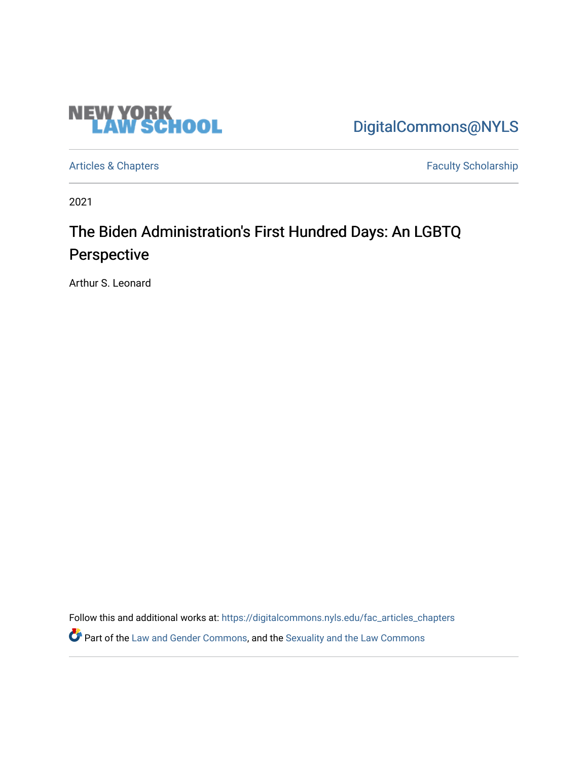

[DigitalCommons@NYLS](https://digitalcommons.nyls.edu/) 

[Articles & Chapters](https://digitalcommons.nyls.edu/fac_articles_chapters) **Faculty Scholarship** 

2021

## The Biden Administration's First Hundred Days: An LGBTQ Perspective

Arthur S. Leonard

Follow this and additional works at: [https://digitalcommons.nyls.edu/fac\\_articles\\_chapters](https://digitalcommons.nyls.edu/fac_articles_chapters?utm_source=digitalcommons.nyls.edu%2Ffac_articles_chapters%2F1463&utm_medium=PDF&utm_campaign=PDFCoverPages) 

Part of the [Law and Gender Commons,](http://network.bepress.com/hgg/discipline/1298?utm_source=digitalcommons.nyls.edu%2Ffac_articles_chapters%2F1463&utm_medium=PDF&utm_campaign=PDFCoverPages) and the [Sexuality and the Law Commons](http://network.bepress.com/hgg/discipline/877?utm_source=digitalcommons.nyls.edu%2Ffac_articles_chapters%2F1463&utm_medium=PDF&utm_campaign=PDFCoverPages)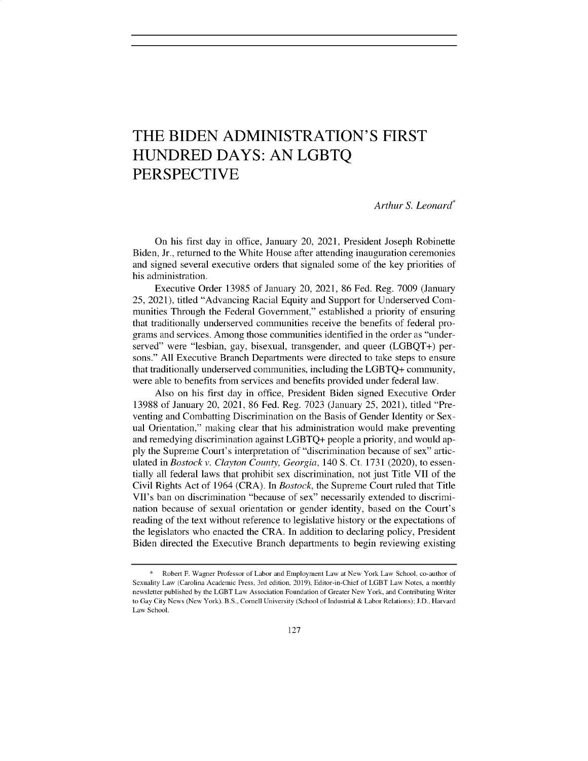## THE BIDEN ADMINISTRATION'S FIRST HUNDRED DAYS: AN LGBTQ PERSPECTIVE

*Arthur S. Leonard\**

On his first day in office, January 20, 2021, President Joseph Robinette Biden, Jr., returned to the White House after attending inauguration ceremonies and signed several executive orders that signaled some of the key priorities of his administration.

Executive Order 13985 of January 20, 2021, 86 Fed. Reg. 7009 (January *25,* 2021), titled "Advancing Racial Equity and Support for Underserved Communities Through the Federal Government," established a priority of ensuring that traditionally underserved communities receive the benefits of federal programs and services. Among those communities identified in the order as "underserved" were "lesbian, gay, bisexual, transgender, and queer (LGBQT+) persons." All Executive Branch Departments were directed to take steps to ensure that traditionally underserved communities, including the LGBTQ+ community, were able to benefits from services and benefits provided under federal law.

Also on his first day in office, President Biden signed Executive Order 13988 of January 20, 2021, 86 Fed. Reg. 7023 (January 25, 2021), titled "Preventing and Combatting Discrimination on the Basis of Gender Identity or Sexual Orientation," making clear that his administration would make preventing and remedying discrimination against LGBTQ+ people a priority, and would apply the Supreme Court's interpretation of "discrimination because of sex" articulated in *Bostock v. Clayton County, Georgia,* 140 S. Ct. 1731 (2020), to essentially all federal laws that prohibit sex discrimination, not just Title VII of the Civil Rights Act of 1964 (CRA). In *Bostock,* the Supreme Court ruled that Title VII's ban on discrimination "because of sex" necessarily extended to discrimination because of sexual orientation or gender identity, based on the Court's reading of the text without reference to legislative history or the expectations of the legislators who enacted the CRA. In addition to declaring policy, President Biden directed the Executive Branch departments to begin reviewing existing

<sup>\*</sup> Robert F. Wagner Professor of Labor and Employment Law at New York Law School, co-author of Sexuality Law (Carolina Academic Press, 3rd edition, 2019), Editor-in-Chief of LGBT Law Notes, a monthly newsletter published by the LGBT Law Association Foundation of Greater New York, and Contributing Writer to Gay City News (New York). B.S., Cornell University (School of Industrial & Labor Relations); J.D., Harvard Law School.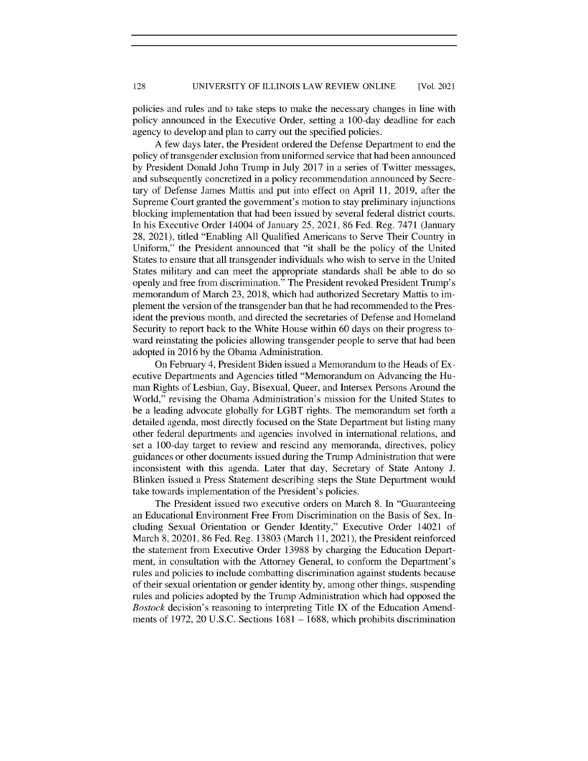## UNIVERSITY OF ILLINOIS LAW REVIEW ONLINE 128 [Vol. 2021

policies and rules and to take steps to make the necessary changes in line with policy announced in the Executive Order, setting a 100-day deadline for each agency to develop and plan to carry out the specified policies.

A few days later, the President ordered the Defense Department to end the policy of transgender exclusion from uniformed service that had been announced by President Donald John Trump in July 2017 in a series of Twitter messages, and subsequently concretized in a policy recommendation announced by Secretary of Defense James Mattis and put into effect on April 11, 2019, after the Supreme Court granted the government's motion to stay preliminary injunctions blocking implementation that had been issued by several federal district courts. In his Executive Order 14004 of January *25,* 2021, 86 Fed. Reg. 7471 (January 28, 2021), titled "Enabling All Qualified Americans to Serve Their Country in Uniform," the President announced that "it shall be the policy of the United States to ensure that all transgender individuals who wish to serve in the United States military and can meet the appropriate standards shall be able to do so openly and free from discrimination." The President revoked President Trump's memorandum of March 23, 2018, which had authorized Secretary Mattis to implement the version of the transgender ban that he had recommended to the President the previous month, and directed the secretaries of Defense and Homeland Security to report back to the White House within 60 days on their progress toward reinstating the policies allowing transgender people to serve that had been adopted in 2016 by the Obama Administration.

On February 4, President Biden issued a Memorandum to the Heads of Executive Departments and Agencies titled "Memorandum on Advancing the Human Rights of Lesbian, Gay, Bisexual, Queer, and Intersex Persons Around the World," revising the Obama Administration's mission for the United States to be a leading advocate globally for LGBT rights. The memorandum set forth a detailed agenda, most directly focused on the State Department but listing many other federal departments and agencies involved in international relations, and set a 100-day target to review and rescind any memoranda, directives, policy guidances or other documents issued during the Trump Administration that were inconsistent with this agenda. Later that day, Secretary of State Antony J. Blinken issued a Press Statement describing steps the State Department would take towards implementation of the President's policies.

The President issued two executive orders on March 8. In "Guaranteeing an Educational Environment Free From Discrimination on the Basis of Sex, Including Sexual Orientation or Gender Identity," Executive Order 14021 of March 8, 20201, 86 Fed. Reg. 13803 (March 11, 2021), the President reinforced the statement from Executive Order 13988 by charging the Education Department, in consultation with the Attorney General, to conform the Department's rules and policies to include combatting discrimination against students because of their sexual orientation or gender identity by, among other things, suspending rules and policies adopted by the Trump Administration which had opposed the *Bostock* decision's reasoning to interpreting Title IX of the Education Amendments of 1972, 20 U.S.C. Sections 1681 - 1688, which prohibits discrimination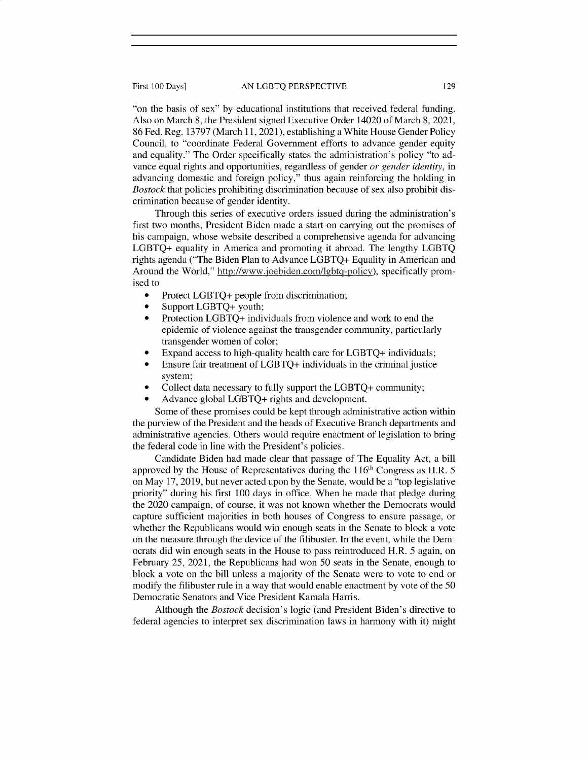"on the basis of sex" by educational institutions that received federal funding. Also on March 8, the President signed Executive Order 14020 of March 8, 2021, 86 Fed. Reg. 13797 (March 11, 2021), establishing a White House Gender Policy Council, to "coordinate Federal Government efforts to advance gender equity and equality." The Order specifically states the administration's policy "to advance equal rights and opportunities, regardless of gender *or gender identity,* in advancing domestic and foreign policy," thus again reinforcing the holding in *Bostock* that policies prohibiting discrimination because of sex also prohibit discrimination because of gender identity.

Through this series of executive orders issued during the administration's first two months, President Biden made a start on carrying out the promises of his campaign, whose website described a comprehensive agenda for advancing LGBTQ+ equality in America and promoting it abroad. The lengthy LGBTQ rights agenda ("The Biden Plan to Advance LGBTQ+ Equality in American and Around the World," http://www.joebiden.com/lgbtq-policy), specifically promised to

- Protect LGBTQ+ people from discrimination;
- Support LGBTQ+ youth;
- Protection LGBTQ+ individuals from violence and work to end the epidemic of violence against the transgender community, particularly transgender women of color;
- Expand access to high-quality health care for LGBTQ+ individuals;
- Ensure fair treatment of LGBTQ+ individuals in the criminal justice system;
- Collect data necessary to fully support the LGBTQ+ community;
- Advance global LGBTQ+ rights and development.

Some of these promises could be kept through administrative action within the purview of the President and the heads of Executive Branch departments and administrative agencies. Others would require enactment of legislation to bring the federal code in line with the President's policies.

Candidate Biden had made clear that passage of The Equality Act, a bill approved by the House of Representatives during the 116<sup>th</sup> Congress as H.R. 5 on May 17, 2019, but never acted upon by the Senate, would be a "top legislative priority" during his first 100 days in office. When he made that pledge during the 2020 campaign, of course, it was not known whether the Democrats would capture sufficient majorities in both houses of Congress to ensure passage, or whether the Republicans would win enough seats in the Senate to block a vote on the measure through the device of the filibuster. In the event, while the Democrats did win enough seats in the House to pass reintroduced H.R. *5* again, on February *25,* 2021, the Republicans had won 50 seats in the Senate, enough to block a vote on the bill unless a majority of the Senate were to vote to end or modify the filibuster rule in a way that would enable enactment by vote of the 50 Democratic Senators and Vice President Kamala Harris.

Although the *Bostock* decision's logic (and President Biden's directive to federal agencies to interpret sex discrimination laws in harmony with it) might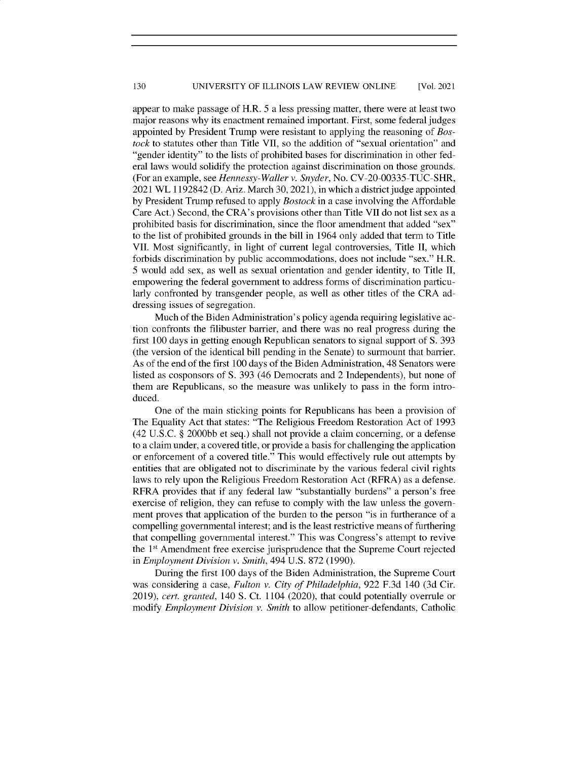appear to make passage of H.R. *5* a less pressing matter, there were at least two major reasons why its enactment remained important. First, some federal judges appointed by President Trump were resistant to applying the reasoning of *Bostock* to statutes other than Title VII, so the addition of "sexual orientation" and "gender identity" to the lists of prohibited bases for discrimination in other federal laws would solidify the protection against discrimination on those grounds. (For an example, see *Hennessy-Waller v. Snyder,* No. CV-20-00335-TUC-SHR, 2021 WL 1192842 (D. Ariz. March 30, 2021), in which a district judge appointed by President Trump refused to apply *Bostock* in a case involving the Affordable Care Act.) Second, the CRA's provisions other than Title VII do not list sex as a prohibited basis for discrimination, since the floor amendment that added "sex" to the list of prohibited grounds in the bill in 1964 only added that term to Title VII. Most significantly, in light of current legal controversies, Title **II,** which forbids discrimination by public accommodations, does not include "sex." H.R. *5* would add sex, as well as sexual orientation and gender identity, to Title II, empowering the federal government to address forms of discrimination particularly confronted by transgender people, as well as other titles of the CRA addressing issues of segregation.

Much of the Biden Administration's policy agenda requiring legislative action confronts the filibuster barrier, and there was no real progress during the first 100 days in getting enough Republican senators to signal support of S. 393 (the version of the identical bill pending in the Senate) to surmount that barrier. As of the end of the first 100 days of the Biden Administration, 48 Senators were listed as cosponsors of S. 393 (46 Democrats and 2 Independents), but none of them are Republicans, so the measure was unlikely to pass in the form introduced.

One of the main sticking points for Republicans has been a provision of The Equality Act that states: "The Religious Freedom Restoration Act of 1993 (42 U.S.C. § 2000bb et seq.) shall not provide a claim concerning, or a defense to a claim under, a covered title, or provide a basis for challenging the application or enforcement of a covered title." This would effectively rule out attempts by entities that are obligated not to discriminate by the various federal civil rights laws to rely upon the Religious Freedom Restoration Act (RFRA) as a defense. RFRA provides that if any federal law "substantially burdens" a person's free exercise of religion, they can refuse to comply with the law unless the government proves that application of the burden to the person "is in furtherance of a compelling governmental interest; and is the least restrictive means of furthering that compelling governmental interest." This was Congress's attempt to revive the  $1<sup>st</sup>$  Amendment free exercise jurisprudence that the Supreme Court rejected in *Employment Division v. Smith,* 494 U.S. 872 (1990).

During the first 100 days of the Biden Administration, the Supreme Court was considering a case, *Fulton v. City of Philadelphia,* 922 F.3d 140 (3d Cir. 2019), *cert. granted,* 140 S. Ct. 1104 (2020), that could potentially overrule or modify *Employment Division v. Smith* to allow petitioner-defendants, Catholic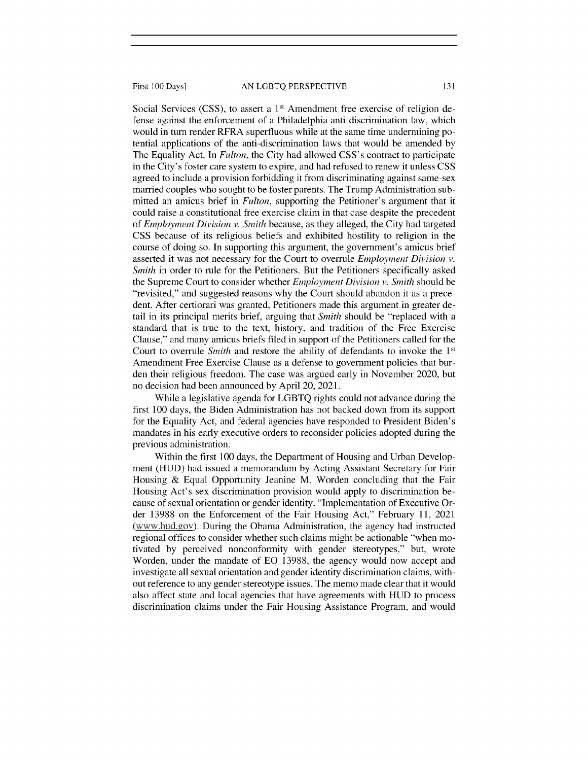Social Services (CSS), to assert a  $1<sup>st</sup>$  Amendment free exercise of religion defense against the enforcement of a Philadelphia anti-discrimination law, which would in turn render RFRA superfluous while at the same time undermining potential applications of the anti-discrimination laws that would be amended by The Equality Act. In *Fulton,* the City had allowed CSS's contract to participate in the City's foster care system to expire, and had refused to renew it unless CSS agreed to include a provision forbidding it from discriminating against same-sex married couples who sought to be foster parents. The Trump Administration submitted an amicus brief in *Fulton,* supporting the Petitioner's argument that it could raise a constitutional free exercise claim in that case despite the precedent of *Employment Division v. Smith* because, as they alleged, the City had targeted CSS because of its religious beliefs and exhibited hostility to religion in the course of doing so. In supporting this argument, the government's amicus brief asserted it was not necessary for the Court to overrule *Employment Division v. Smith* in order to rule for the Petitioners. But the Petitioners specifically asked the Supreme Court to consider whether *Employment Division v. Smith* should be "revisited," and suggested reasons why the Court should abandon it as a precedent. After certiorari was granted, Petitioners made this argument in greater detail in its principal merits brief, arguing that *Smith* should be "replaced with a standard that is true to the text, history, and tradition of the Free Exercise Clause," and many amicus briefs filed in support of the Petitioners called for the Court to overrule *Smith* and restore the ability of defendants to invoke the 1<sup>st</sup> Amendment Free Exercise Clause as a defense to government policies that burden their religious freedom. The case was argued early in November 2020, but no decision had been announced by April 20, 2021.

While a legislative agenda for LGBTQ rights could not advance during the first 100 days, the Biden Administration has not backed down from its support for the Equality Act, and federal agencies have responded to President Biden's mandates in his early executive orders to reconsider policies adopted during the previous administration.

Within the first 100 days, the Department of Housing and Urban Development (HUD) had issued a memorandum by Acting Assistant Secretary for Fair Housing & Equal Opportunity Jeanine M. Worden concluding that the Fair Housing Act's sex discrimination provision would apply to discrimination because of sexual orientation or gender identity. "Implementation of Executive Order 13988 on the Enforcement of the Fair Housing Act," February 11, 2021 (www.hud.gov). During the Obama Administration, the agency had instructed regional offices to consider whether such claims might be actionable "when motivated by perceived nonconformity with gender stereotypes," but, wrote Worden, under the mandate of EO 13988, the agency would now accept and investigate all sexual orientation and gender identity discrimination claims, without reference to any gender stereotype issues. The memo made clear that it would also affect state and local agencies that have agreements with HUD to process discrimination claims under the Fair Housing Assistance Program, and would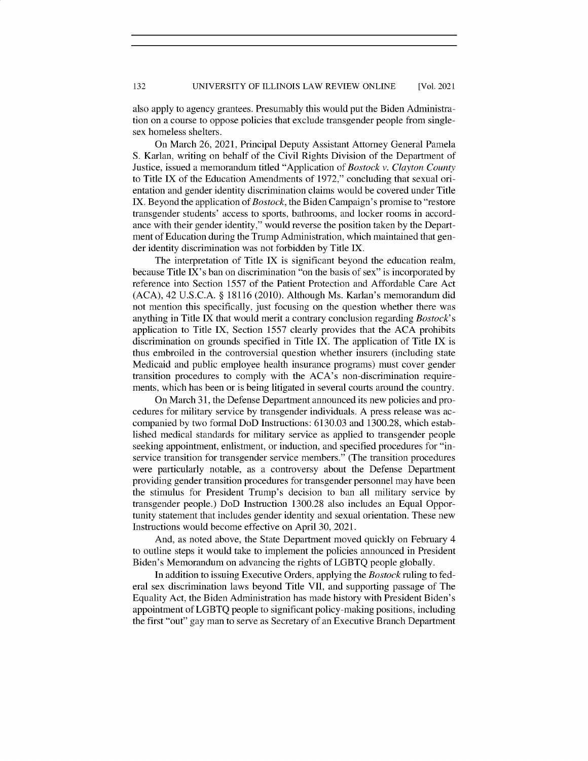also apply to agency grantees. Presumably this would put the Biden Administration on a course to oppose policies that exclude transgender people from singlesex homeless shelters.

On March 26, 2021, Principal Deputy Assistant Attorney General Pamela S. Karlan, writing on behalf of the Civil Rights Division of the Department of Justice, issued a memorandum titled "Application of *Bostock v. Clayton County* to Title IX of the Education Amendments of 1972," concluding that sexual orientation and gender identity discrimination claims would be covered under Title IX. Beyond the application *of Bostock,* the Biden Campaign's promise to "restore transgender students' access to sports, bathrooms, and locker rooms in accordance with their gender identity," would reverse the position taken by the Department of Education during the Trump Administration, which maintained that gender identity discrimination was not forbidden by Title IX.

The interpretation of Title IX is significant beyond the education realm, because Title IX's ban on discrimination "on the basis of sex" is incorporated by reference into Section *1557* of the Patient Protection and Affordable Care Act (ACA), 42 U.S.C.A. § 18116 (2010). Although Ms. Karlan's memorandum did not mention this specifically, just focusing on the question whether there was anything in Title IX that would merit a contrary conclusion regarding *Bostock's* application to Title IX, Section *1557* clearly provides that the ACA prohibits discrimination on grounds specified in Title IX. The application of Title IX is thus embroiled in the controversial question whether insurers (including state Medicaid and public employee health insurance programs) must cover gender transition procedures to comply with the ACA's non-discrimination requirements, which has been or is being litigated in several courts around the country.

On March 31, the Defense Department announced its new policies and procedures for military service by transgender individuals. A press release was accompanied by two formal DoD Instructions: 6130.03 and 1300.28, which established medical standards for military service as applied to transgender people seeking appointment, enlistment, or induction, and specified procedures for "inservice transition for transgender service members." (The transition procedures were particularly notable, as a controversy about the Defense Department providing gender transition procedures for transgender personnel may have been the stimulus for President Trump's decision to ban all military service by transgender people.) DoD Instruction 1300.28 also includes an Equal Opportunity statement that includes gender identity and sexual orientation. These new Instructions would become effective on April 30, 2021.

And, as noted above, the State Department moved quickly on February 4 to outline steps it would take to implement the policies announced in President Biden's Memorandum on advancing the rights of LGBTQ people globally.

In addition to issuing Executive Orders, applying the *Bostock* ruling to federal sex discrimination laws beyond Title VII, and supporting passage of The Equality Act, the Biden Administration has made history with President Biden's appointment of LGBTQ people to significant policy-making positions, including the first "out" gay man to serve as Secretary of an Executive Branch Department